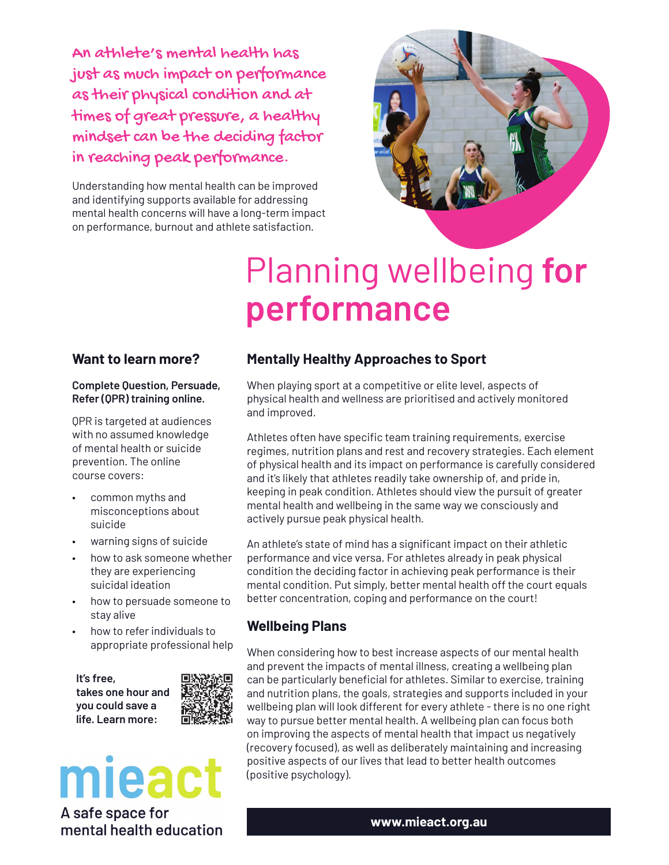An athlete's mental health has just as much impact on performance as their physical condition and at times of great pressure, a healthy mindset can be the deciding factor in reaching peak performance.

Understanding how mental health can be improved and identifying supports available for addressing mental health concerns will have a long-term impact on performance, burnout and athlete satisfaction.



# Planning wellbeing **for performance**

#### **Want to learn more?**

#### **Complete Question, Persuade, Refer (QPR) training online.**

QPR is targeted at audiences with no assumed knowledge of mental health or suicide prevention. The online course covers:

- common myths and misconceptions about suicide
- warning signs of suicide
- how to ask someone whether they are experiencing suicidal ideation
- how to persuade someone to stay alive
- how to refer individuals to appropriate professional help

**It's free, takes one hour and you could save a life. Learn more:**



### mieact A safe space for

mental health education

### **Mentally Healthy Approaches to Sport**

When playing sport at a competitive or elite level, aspects of physical health and wellness are prioritised and actively monitored and improved.

Athletes often have specific team training requirements, exercise regimes, nutrition plans and rest and recovery strategies. Each element of physical health and its impact on performance is carefully considered and it's likely that athletes readily take ownership of, and pride in, keeping in peak condition. Athletes should view the pursuit of greater mental health and wellbeing in the same way we consciously and actively pursue peak physical health.

An athlete's state of mind has a signiťcant impact on their athletic performance and vice versa. For athletes already in peak physical condition the deciding factor in achieving peak performance is their mental condition. Put simply, better mental health off the court equals better concentration, coping and performance on the court!

### **Wellbeing Plans**

When considering how to best increase aspects of our mental health and prevent the impacts of mental illness, creating a wellbeing plan can be particularly beneficial for athletes. Similar to exercise, training and nutrition plans, the goals, strategies and supports included in your wellbeing plan will look different for every athlete - there is no one right way to pursue better mental health. A wellbeing plan can focus both on improving the aspects of mental health that impact us negatively (recovery focused), as well as deliberately maintaining and increasing positive aspects of our lives that lead to better health outcomes (positive psychology).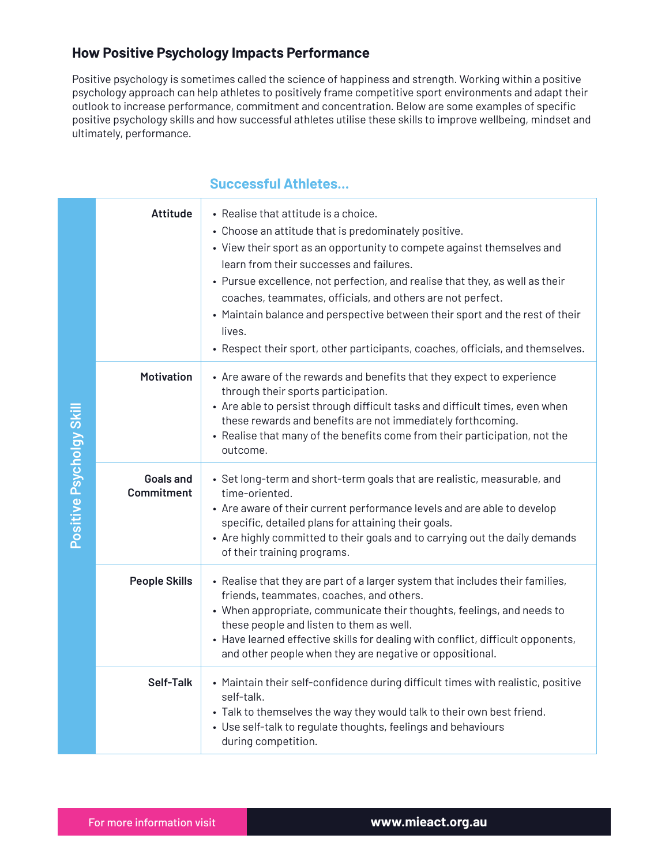### **How Positive Psychology Impacts Performance**

Positive psychology is sometimes called the science of happiness and strength. Working within a positive psychology approach can help athletes to positively frame competitive sport environments and adapt their outlook to increase performance, commitment and concentration. Below are some examples of specific positive psychology skills and how successful athletes utilise these skills to improve wellbeing, mindset and ultimately, performance.

|                          | <b>Successful Athletes</b>            |                                                                                                                                                                                                                                                                                                                                                                                                                                                                                                                                              |  |  |
|--------------------------|---------------------------------------|----------------------------------------------------------------------------------------------------------------------------------------------------------------------------------------------------------------------------------------------------------------------------------------------------------------------------------------------------------------------------------------------------------------------------------------------------------------------------------------------------------------------------------------------|--|--|
| Positive Psycholgy Skill | <b>Attitude</b>                       | • Realise that attitude is a choice.<br>• Choose an attitude that is predominately positive.<br>• View their sport as an opportunity to compete against themselves and<br>learn from their successes and failures.<br>• Pursue excellence, not perfection, and realise that they, as well as their<br>coaches, teammates, officials, and others are not perfect.<br>• Maintain balance and perspective between their sport and the rest of their<br>lives.<br>• Respect their sport, other participants, coaches, officials, and themselves. |  |  |
|                          | <b>Motivation</b>                     | • Are aware of the rewards and benefits that they expect to experience<br>through their sports participation.<br>• Are able to persist through difficult tasks and difficult times, even when<br>these rewards and benefits are not immediately forthcoming.<br>• Realise that many of the benefits come from their participation, not the<br>outcome.                                                                                                                                                                                       |  |  |
|                          | <b>Goals and</b><br><b>Commitment</b> | • Set long-term and short-term goals that are realistic, measurable, and<br>time-oriented.<br>• Are aware of their current performance levels and are able to develop<br>specific, detailed plans for attaining their goals.<br>• Are highly committed to their goals and to carrying out the daily demands<br>of their training programs.                                                                                                                                                                                                   |  |  |
|                          | <b>People Skills</b>                  | • Realise that they are part of a larger system that includes their families,<br>friends, teammates, coaches, and others.<br>• When appropriate, communicate their thoughts, feelings, and needs to<br>these people and listen to them as well.<br>• Have learned effective skills for dealing with conflict, difficult opponents,<br>and other people when they are negative or oppositional.                                                                                                                                               |  |  |
|                          | Self-Talk                             | • Maintain their self-confidence during difficult times with realistic, positive<br>self-talk.<br>• Talk to themselves the way they would talk to their own best friend.<br>• Use self-talk to regulate thoughts, feelings and behaviours<br>during competition.                                                                                                                                                                                                                                                                             |  |  |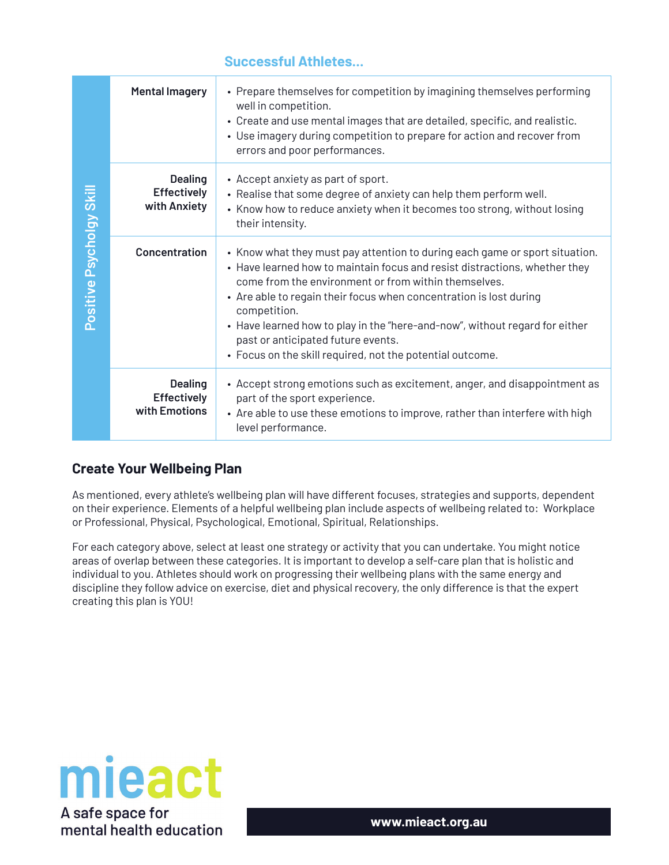#### **Successful Athletes...**

| Positive Psycholgy Skill | <b>Mental Imagery</b>                                 | • Prepare themselves for competition by imagining themselves performing<br>well in competition.<br>• Create and use mental images that are detailed, specific, and realistic.<br>• Use imagery during competition to prepare for action and recover from<br>errors and poor performances.                                                                                                                                                                                                 |
|--------------------------|-------------------------------------------------------|-------------------------------------------------------------------------------------------------------------------------------------------------------------------------------------------------------------------------------------------------------------------------------------------------------------------------------------------------------------------------------------------------------------------------------------------------------------------------------------------|
|                          | <b>Dealing</b><br><b>Effectively</b><br>with Anxiety  | • Accept anxiety as part of sport.<br>• Realise that some degree of anxiety can help them perform well.<br>• Know how to reduce anxiety when it becomes too strong, without losing<br>their intensity.                                                                                                                                                                                                                                                                                    |
|                          | <b>Concentration</b>                                  | • Know what they must pay attention to during each game or sport situation.<br>• Have learned how to maintain focus and resist distractions, whether they<br>come from the environment or from within themselves.<br>• Are able to regain their focus when concentration is lost during<br>competition.<br>• Have learned how to play in the "here-and-now", without regard for either<br>past or anticipated future events.<br>• Focus on the skill required, not the potential outcome. |
|                          | <b>Dealing</b><br><b>Effectively</b><br>with Emotions | • Accept strong emotions such as excitement, anger, and disappointment as<br>part of the sport experience.<br>• Are able to use these emotions to improve, rather than interfere with high<br>level performance.                                                                                                                                                                                                                                                                          |

### **Create Your Wellbeing Plan**

As mentioned, every athlete's wellbeing plan will have different focuses, strategies and supports, dependent on their experience. Elements of a helpful wellbeing plan include aspects of wellbeing related to: Workplace or Professional, Physical, Psychological, Emotional, Spiritual, Relationships.

For each category above, select at least one strategy or activity that you can undertake. You might notice areas of overlap between these categories. It is important to develop a self-care plan that is holistic and individual to you. Athletes should work on progressing their wellbeing plans with the same energy and discipline they follow advice on exercise, diet and physical recovery, the only difference is that the expert creating this plan is YOU!